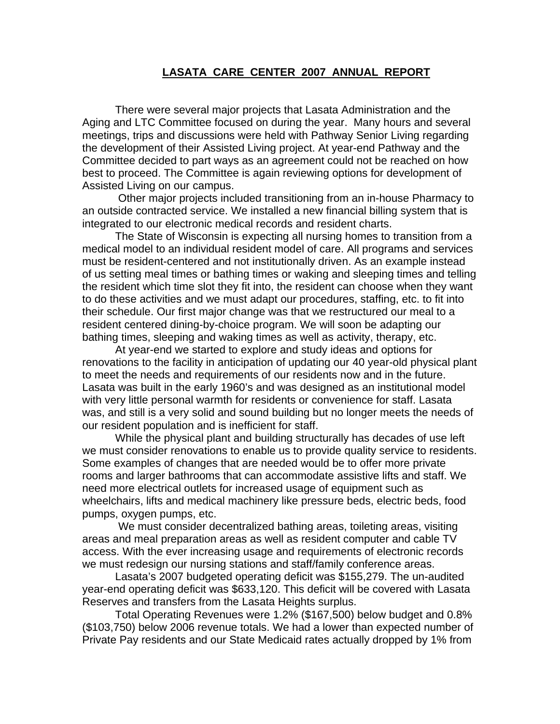## **LASATA CARE CENTER 2007 ANNUAL REPORT**

There were several major projects that Lasata Administration and the Aging and LTC Committee focused on during the year. Many hours and several meetings, trips and discussions were held with Pathway Senior Living regarding the development of their Assisted Living project. At year-end Pathway and the Committee decided to part ways as an agreement could not be reached on how best to proceed. The Committee is again reviewing options for development of Assisted Living on our campus.

 Other major projects included transitioning from an in-house Pharmacy to an outside contracted service. We installed a new financial billing system that is integrated to our electronic medical records and resident charts.

The State of Wisconsin is expecting all nursing homes to transition from a medical model to an individual resident model of care. All programs and services must be resident-centered and not institutionally driven. As an example instead of us setting meal times or bathing times or waking and sleeping times and telling the resident which time slot they fit into, the resident can choose when they want to do these activities and we must adapt our procedures, staffing, etc. to fit into their schedule. Our first major change was that we restructured our meal to a resident centered dining-by-choice program. We will soon be adapting our bathing times, sleeping and waking times as well as activity, therapy, etc.

At year-end we started to explore and study ideas and options for renovations to the facility in anticipation of updating our 40 year-old physical plant to meet the needs and requirements of our residents now and in the future. Lasata was built in the early 1960's and was designed as an institutional model with very little personal warmth for residents or convenience for staff. Lasata was, and still is a very solid and sound building but no longer meets the needs of our resident population and is inefficient for staff.

While the physical plant and building structurally has decades of use left we must consider renovations to enable us to provide quality service to residents. Some examples of changes that are needed would be to offer more private rooms and larger bathrooms that can accommodate assistive lifts and staff. We need more electrical outlets for increased usage of equipment such as wheelchairs, lifts and medical machinery like pressure beds, electric beds, food pumps, oxygen pumps, etc.

 We must consider decentralized bathing areas, toileting areas, visiting areas and meal preparation areas as well as resident computer and cable TV access. With the ever increasing usage and requirements of electronic records we must redesign our nursing stations and staff/family conference areas.

Lasata's 2007 budgeted operating deficit was \$155,279. The un-audited year-end operating deficit was \$633,120. This deficit will be covered with Lasata Reserves and transfers from the Lasata Heights surplus.

Total Operating Revenues were 1.2% (\$167,500) below budget and 0.8% (\$103,750) below 2006 revenue totals. We had a lower than expected number of Private Pay residents and our State Medicaid rates actually dropped by 1% from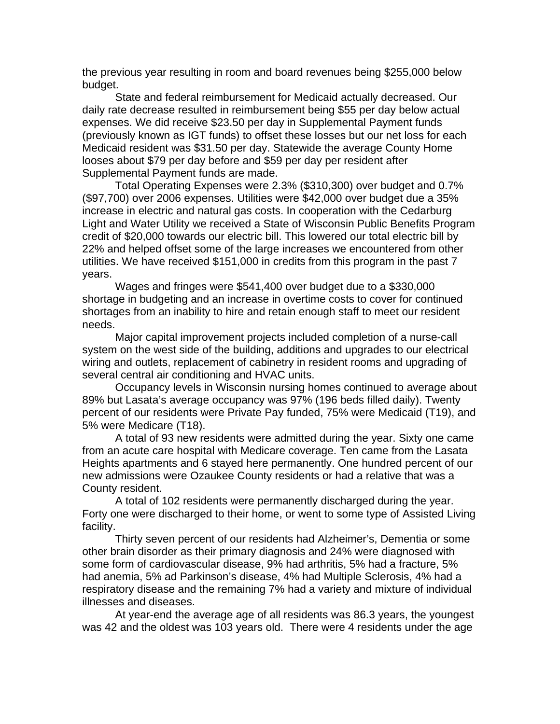the previous year resulting in room and board revenues being \$255,000 below budget.

State and federal reimbursement for Medicaid actually decreased. Our daily rate decrease resulted in reimbursement being \$55 per day below actual expenses. We did receive \$23.50 per day in Supplemental Payment funds (previously known as IGT funds) to offset these losses but our net loss for each Medicaid resident was \$31.50 per day. Statewide the average County Home looses about \$79 per day before and \$59 per day per resident after Supplemental Payment funds are made.

Total Operating Expenses were 2.3% (\$310,300) over budget and 0.7% (\$97,700) over 2006 expenses. Utilities were \$42,000 over budget due a 35% increase in electric and natural gas costs. In cooperation with the Cedarburg Light and Water Utility we received a State of Wisconsin Public Benefits Program credit of \$20,000 towards our electric bill. This lowered our total electric bill by 22% and helped offset some of the large increases we encountered from other utilities. We have received \$151,000 in credits from this program in the past 7 years.

Wages and fringes were \$541,400 over budget due to a \$330,000 shortage in budgeting and an increase in overtime costs to cover for continued shortages from an inability to hire and retain enough staff to meet our resident needs.

Major capital improvement projects included completion of a nurse-call system on the west side of the building, additions and upgrades to our electrical wiring and outlets, replacement of cabinetry in resident rooms and upgrading of several central air conditioning and HVAC units.

Occupancy levels in Wisconsin nursing homes continued to average about 89% but Lasata's average occupancy was 97% (196 beds filled daily). Twenty percent of our residents were Private Pay funded, 75% were Medicaid (T19), and 5% were Medicare (T18).

A total of 93 new residents were admitted during the year. Sixty one came from an acute care hospital with Medicare coverage. Ten came from the Lasata Heights apartments and 6 stayed here permanently. One hundred percent of our new admissions were Ozaukee County residents or had a relative that was a County resident.

A total of 102 residents were permanently discharged during the year. Forty one were discharged to their home, or went to some type of Assisted Living facility.

Thirty seven percent of our residents had Alzheimer's, Dementia or some other brain disorder as their primary diagnosis and 24% were diagnosed with some form of cardiovascular disease, 9% had arthritis, 5% had a fracture, 5% had anemia, 5% ad Parkinson's disease, 4% had Multiple Sclerosis, 4% had a respiratory disease and the remaining 7% had a variety and mixture of individual illnesses and diseases.

At year-end the average age of all residents was 86.3 years, the youngest was 42 and the oldest was 103 years old. There were 4 residents under the age